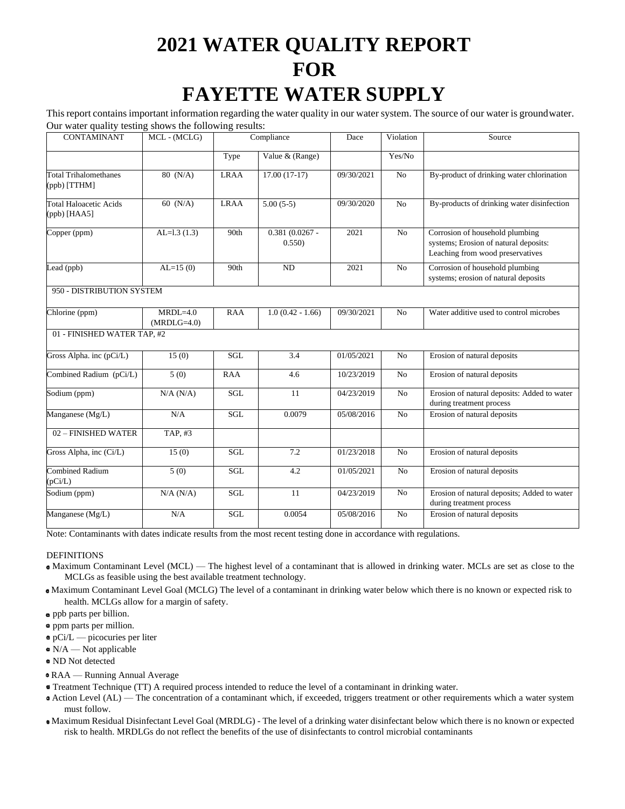# **2021 WATER QUALITY REPORT FOR FAYETTE WATER SUPPLY**

This report contains important information regarding the water quality in our water system. The source of our water is groundwater. Our water quality testing shows the following results:

|                                                 |                             | o           |                           |            |                |                                                                                                              |
|-------------------------------------------------|-----------------------------|-------------|---------------------------|------------|----------------|--------------------------------------------------------------------------------------------------------------|
| <b>CONTAMINANT</b>                              | MCL - (MCLG)                | Compliance  |                           | Dace       | Violation      | Source                                                                                                       |
|                                                 |                             | Type        | Value & (Range)           |            | Yes/No         |                                                                                                              |
| Total Trihalomethanes<br>$(ppb)$ [TTHM]         | 80 (N/A)                    | <b>LRAA</b> | $17.00(17-17)$            | 09/30/2021 | N <sub>o</sub> | By-product of drinking water chlorination                                                                    |
| <b>Total Haloacetic Acids</b><br>$(ppb)$ [HAA5] | 60 $(N/A)$                  | <b>LRAA</b> | $5.00(5-5)$               | 09/30/2020 | No             | By-products of drinking water disinfection                                                                   |
| Copper (ppm)                                    | AL= $1.3(1.3)$              | 90th        | $0.381(0.0267 -$<br>0.550 | 2021       | No             | Corrosion of household plumbing<br>systems; Erosion of natural deposits:<br>Leaching from wood preservatives |
| Lead (ppb)                                      | $AL=15(0)$                  | 90th        | ND                        | 2021       | No             | Corrosion of household plumbing<br>systems; erosion of natural deposits                                      |
| 950 - DISTRIBUTION SYSTEM                       |                             |             |                           |            |                |                                                                                                              |
| Chlorine (ppm)                                  | $MRDL=4.0$<br>$(MRDLG=4.0)$ | <b>RAA</b>  | $1.0(0.42 - 1.66)$        | 09/30/2021 | No             | Water additive used to control microbes                                                                      |
| 01 - FINISHED WATER TAP, #2                     |                             |             |                           |            |                |                                                                                                              |
| Gross Alpha. inc (pCi/L)                        | 15(0)                       | <b>SGL</b>  | 3.4                       | 01/05/2021 | No             | Erosion of natural deposits                                                                                  |
| Combined Radium (pCi/L)                         | 5(0)                        | <b>RAA</b>  | 4.6                       | 10/23/2019 | No             | Erosion of natural deposits                                                                                  |
| Sodium (ppm)                                    | N/A (N/A)                   | SGL         | 11                        | 04/23/2019 | N <sub>o</sub> | Erosion of natural deposits: Added to water<br>during treatment process                                      |
| Manganese (Mg/L)                                | N/A                         | <b>SGL</b>  | 0.0079                    | 05/08/2016 | No             | Erosion of natural deposits                                                                                  |
| 02 - FINISHED WATER                             | TAP, #3                     |             |                           |            |                |                                                                                                              |
| Gross Alpha, inc (Ci/L)                         | 15(0)                       | SGL         | 7.2                       | 01/23/2018 | No             | Erosion of natural deposits                                                                                  |
| <b>Combined Radium</b><br>(pCi/L)               | 5(0)                        | SGL         | 4.2                       | 01/05/2021 | No             | Erosion of natural deposits                                                                                  |
| Sodium (ppm)                                    | N/A (N/A)                   | SGL         | 11                        | 04/23/2019 | No             | Erosion of natural deposits; Added to water<br>during treatment process                                      |
| Manganese (Mg/L)                                | N/A                         | <b>SGL</b>  | 0.0054                    | 05/08/2016 | N <sub>o</sub> | Erosion of natural deposits                                                                                  |

Note: Contaminants with dates indicate results from the most recent testing done in accordance with regulations.

## DEFINITIONS

- Maximum Contaminant Level (MCL) The highest level of a contaminant that is allowed in drinking water. MCLs are set as close to the MCLGs as feasible using the best available treatment technology.
- Maximum Contaminant Level Goal (MCLG) The level of a contaminant in drinking water below which there is no known or expected risk to health. MCLGs allow for a margin of safety.
- ppb parts per billion.
- ppm parts per million.
- pCi/L picocuries per liter
- $N/A$  Not applicable
- ND Not detected
- RAA Running Annual Average
- Treatment Technique (TT) A required process intended to reduce the level of a contaminant in drinking water.
- Action Level (AL) The concentration of a contaminant which, if exceeded, triggers treatment or other requirements which a water system must follow.
- Maximum Residual Disinfectant Level Goal (MRDLG) The level of a drinking water disinfectant below which there is no known or expected risk to health. MRDLGs do not reflect the benefits of the use of disinfectants to control microbial contaminants